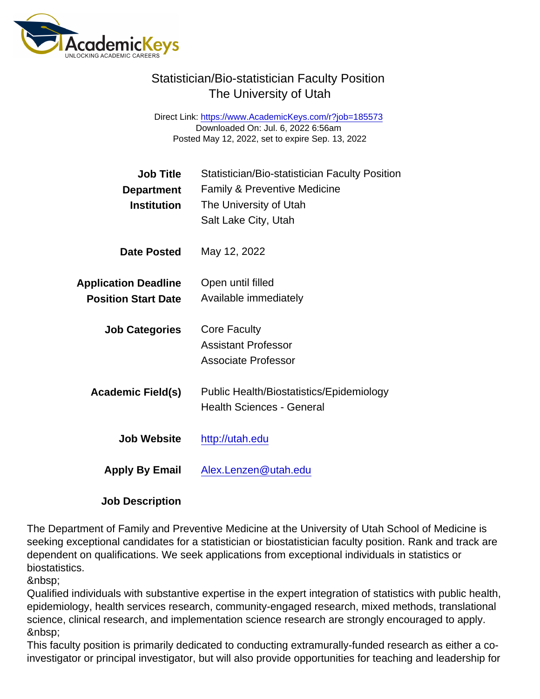Direct Link: <https://www.AcademicKeys.com/r?job=185573> Downloaded On: Jul. 6, 2022 6:56am Posted May 12, 2022, set to expire Sep. 13, 2022

| <b>Job Title</b><br>Department | Statistician/Bio-statistician Faculty Position<br><b>Family &amp; Preventive Medicine</b> |
|--------------------------------|-------------------------------------------------------------------------------------------|
| Institution                    | The University of Utah                                                                    |
|                                | Salt Lake City, Utah                                                                      |
| Date Posted                    | May 12, 2022                                                                              |
| <b>Application Deadline</b>    | Open until filled                                                                         |
| <b>Position Start Date</b>     | Available immediately                                                                     |
| <b>Job Categories</b>          | <b>Core Faculty</b>                                                                       |
|                                | <b>Assistant Professor</b><br>Associate Professor                                         |
|                                |                                                                                           |
| Academic Field(s)              | Public Health/Biostatistics/Epidemiology                                                  |
|                                | <b>Health Sciences - General</b>                                                          |
| Job Website                    | http://utah.edu                                                                           |
| Apply By Email                 | Alex.Lenzen@utah.edu                                                                      |
|                                |                                                                                           |

Job Description

The Department of Family and Preventive Medicine at the University of Utah School of Medicine is seeking exceptional candidates for a statistician or biostatistician faculty position. Rank and track are dependent on qualifications. We seek applications from exceptional individuals in statistics or biostatistics.

Qualified individuals with substantive expertise in the expert integration of statistics with public health, epidemiology, health services research, community-engaged research, mixed methods, translational science, clinical research, and implementation science research are strongly encouraged to apply. 

This faculty position is primarily dedicated to conducting extramurally-funded research as either a coinvestigator or principal investigator, but will also provide opportunities for teaching and leadership for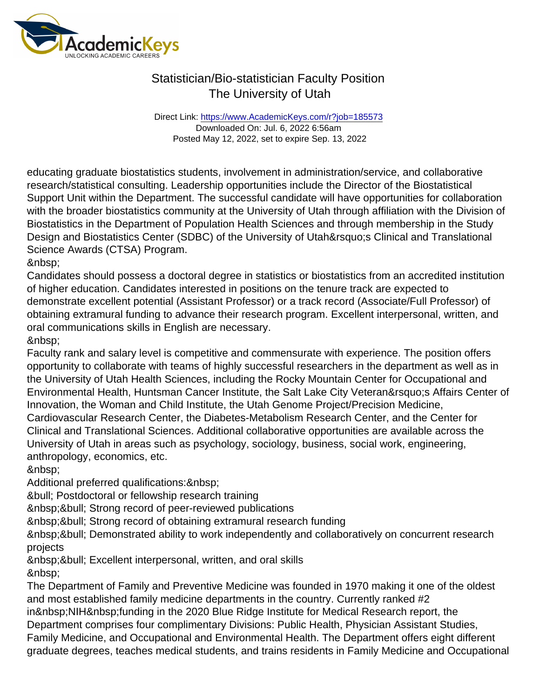Direct Link: <https://www.AcademicKeys.com/r?job=185573> Downloaded On: Jul. 6, 2022 6:56am Posted May 12, 2022, set to expire Sep. 13, 2022

educating graduate biostatistics students, involvement in administration/service, and collaborative research/statistical consulting. Leadership opportunities include the Director of the Biostatistical Support Unit within the Department. The successful candidate will have opportunities for collaboration with the broader biostatistics community at the University of Utah through affiliation with the Division of Biostatistics in the Department of Population Health Sciences and through membership in the Study Design and Biostatistics Center (SDBC) of the University of Utah' SClinical and Translational Science Awards (CTSA) Program.

&nbsp:

Candidates should possess a doctoral degree in statistics or biostatistics from an accredited institution of higher education. Candidates interested in positions on the tenure track are expected to demonstrate excellent potential (Assistant Professor) or a track record (Associate/Full Professor) of obtaining extramural funding to advance their research program. Excellent interpersonal, written, and oral communications skills in English are necessary.

&nbsp:

Faculty rank and salary level is competitive and commensurate with experience. The position offers opportunity to collaborate with teams of highly successful researchers in the department as well as in the University of Utah Health Sciences, including the Rocky Mountain Center for Occupational and Environmental Health, Huntsman Cancer Institute, the Salt Lake City Veteran' a Affairs Center of Innovation, the Woman and Child Institute, the Utah Genome Project/Precision Medicine, Cardiovascular Research Center, the Diabetes-Metabolism Research Center, and the Center for Clinical and Translational Sciences. Additional collaborative opportunities are available across the University of Utah in areas such as psychology, sociology, business, social work, engineering, anthropology, economics, etc.

Additional preferred qualifications: & nbsp;

• Postdoctoral or fellowship research training

• Strong record of peer-reviewed publications

• Strong record of obtaining extramural research funding

 • Demonstrated ability to work independently and collaboratively on concurrent research projects

 • Excellent interpersonal, written, and oral skills 

The Department of Family and Preventive Medicine was founded in 1970 making it one of the oldest and most established family medicine departments in the country. Currently ranked #2 in NIH funding in the 2020 Blue Ridge Institute for Medical Research report, the Department comprises four complimentary Divisions: Public Health, Physician Assistant Studies, Family Medicine, and Occupational and Environmental Health. The Department offers eight different graduate degrees, teaches medical students, and trains residents in Family Medicine and Occupational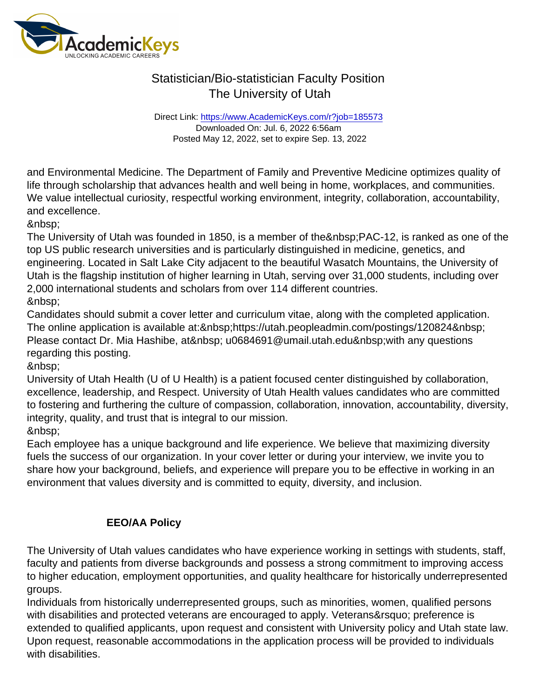Direct Link: <https://www.AcademicKeys.com/r?job=185573> Downloaded On: Jul. 6, 2022 6:56am Posted May 12, 2022, set to expire Sep. 13, 2022

and Environmental Medicine. The Department of Family and Preventive Medicine optimizes quality of life through scholarship that advances health and well being in home, workplaces, and communities. We value intellectual curiosity, respectful working environment, integrity, collaboration, accountability, and excellence.

&nbsp:

The University of Utah was founded in 1850, is a member of the PAC-12, is ranked as one of the top US public research universities and is particularly distinguished in medicine, genetics, and engineering. Located in Salt Lake City adjacent to the beautiful Wasatch Mountains, the University of Utah is the flagship institution of higher learning in Utah, serving over 31,000 students, including over 2,000 international students and scholars from over 114 different countries. 

Candidates should submit a cover letter and curriculum vitae, along with the completed application. The online application is available at: https://utah.peopleadmin.com/postings/120824 Please contact Dr. Mia Hashibe, at u0684691@umail.utah.edu with any questions regarding this posting.

University of Utah Health (U of U Health) is a patient focused center distinguished by collaboration, excellence, leadership, and Respect. University of Utah Health values candidates who are committed to fostering and furthering the culture of compassion, collaboration, innovation, accountability, diversity, integrity, quality, and trust that is integral to our mission. &nbsp:

Each employee has a unique background and life experience. We believe that maximizing diversity fuels the success of our organization. In your cover letter or during your interview, we invite you to share how your background, beliefs, and experience will prepare you to be effective in working in an environment that values diversity and is committed to equity, diversity, and inclusion.

#### EEO/AA Policy

The University of Utah values candidates who have experience working in settings with students, staff, faculty and patients from diverse backgrounds and possess a strong commitment to improving access to higher education, employment opportunities, and quality healthcare for historically underrepresented groups.

Individuals from historically underrepresented groups, such as minorities, women, qualified persons with disabilities and protected veterans are encouraged to apply. Veterans' preference is extended to qualified applicants, upon request and consistent with University policy and Utah state law. Upon request, reasonable accommodations in the application process will be provided to individuals with disabilities.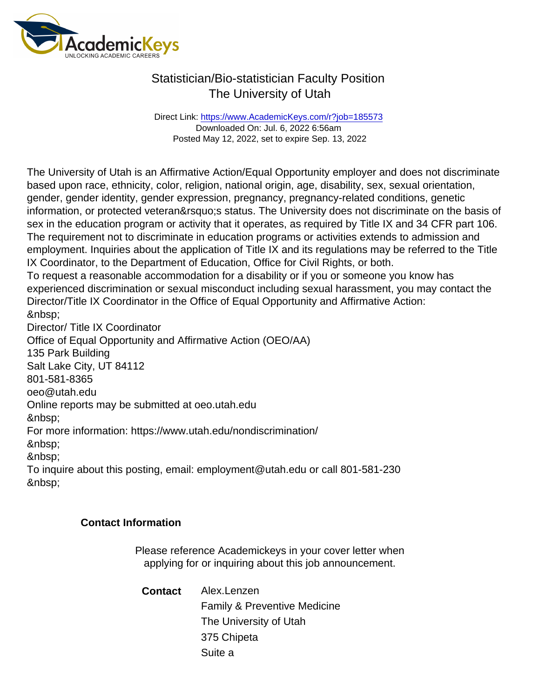Direct Link: <https://www.AcademicKeys.com/r?job=185573> Downloaded On: Jul. 6, 2022 6:56am Posted May 12, 2022, set to expire Sep. 13, 2022

The University of Utah is an Affirmative Action/Equal Opportunity employer and does not discriminate based upon race, ethnicity, color, religion, national origin, age, disability, sex, sexual orientation, gender, gender identity, gender expression, pregnancy, pregnancy-related conditions, genetic information, or protected veteran' sstatus. The University does not discriminate on the basis of sex in the education program or activity that it operates, as required by Title IX and 34 CFR part 106. The requirement not to discriminate in education programs or activities extends to admission and employment. Inquiries about the application of Title IX and its regulations may be referred to the Title IX Coordinator, to the Department of Education, Office for Civil Rights, or both.

To request a reasonable accommodation for a disability or if you or someone you know has experienced discrimination or sexual misconduct including sexual harassment, you may contact the Director/Title IX Coordinator in the Office of Equal Opportunity and Affirmative Action: 

Director/ Title IX Coordinator

Office of Equal Opportunity and Affirmative Action (OEO/AA) 135 Park Building

Salt Lake City, UT 84112

801-581-8365

oeo@utah.edu

Online reports may be submitted at oeo.utah.edu

&nbsp:

For more information: https://www.utah.edu/nondiscrimination/

&nbsp:

To inquire about this posting, email: employment@utah.edu or call 801-581-230 &nbsp:

Contact Information

Please reference Academickeys in your cover letter when applying for or inquiring about this job announcement.

Contact Alex.Lenzen Family & Preventive Medicine The University of Utah 375 Chipeta Suite a